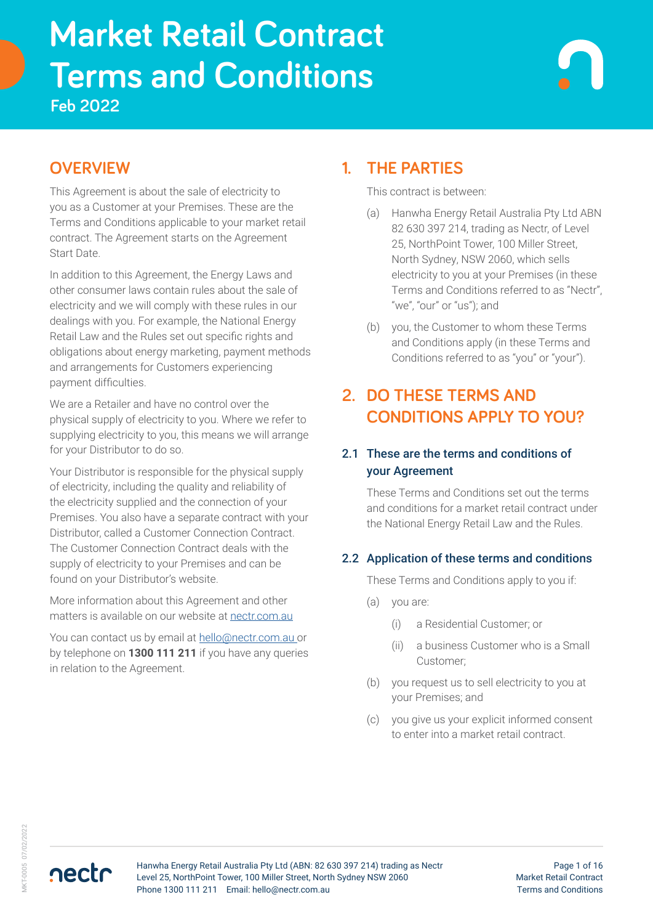# **Terms and Conditions Market Retail Contract Feb 2022**

# **OVERVIEW**

This Agreement is about the sale of electricity to you as a Customer at your Premises. These are the Terms and Conditions applicable to your market retail contract. The Agreement starts on the Agreement Start Date.

In addition to this Agreement, the Energy Laws and other consumer laws contain rules about the sale of electricity and we will comply with these rules in our dealings with you. For example, the National Energy Retail Law and the Rules set out specific rights and obligations about energy marketing, payment methods and arrangements for Customers experiencing payment difficulties.

We are a Retailer and have no control over the physical supply of electricity to you. Where we refer to supplying electricity to you, this means we will arrange for your Distributor to do so.

Your Distributor is responsible for the physical supply of electricity, including the quality and reliability of the electricity supplied and the connection of your Premises. You also have a separate contract with your Distributor, called a Customer Connection Contract. The Customer Connection Contract deals with the supply of electricity to your Premises and can be found on your Distributor's website.

More information about this Agreement and other matters is available on our website at [nectr.com.au](https://nectr.com.au/)

You can contact us by email at [hello@nectr.com.au o](mailto:hello%40nectr.com.au%20?subject=)r by telephone on **1300 111 211** if you have any queries in relation to the Agreement.

# **1. THE PARTIES**

This contract is between:

- (a) Hanwha Energy Retail Australia Pty Ltd ABN 82 630 397 214, trading as Nectr, of Level 25, NorthPoint Tower, 100 Miller Street, North Sydney, NSW 2060, which sells electricity to you at your Premises (in these Terms and Conditions referred to as "Nectr", "we", "our" or "us"); and
- (b) you, the Customer to whom these Terms and Conditions apply (in these Terms and Conditions referred to as "you" or "your").

# **2. DO THESE TERMS AND CONDITIONS APPLY TO YOU?**

### 2.1 These are the terms and conditions of your Agreement

These Terms and Conditions set out the terms and conditions for a market retail contract under the National Energy Retail Law and the Rules.

### 2.2 Application of these terms and conditions

These Terms and Conditions apply to you if:

- (a) you are:
	- (i) a Residential Customer; or
	- (ii) a business Customer who is a Small Customer;
- (b) you request us to sell electricity to you at your Premises; and
- (c) you give us your explicit informed consent to enter into a market retail contract.

nectr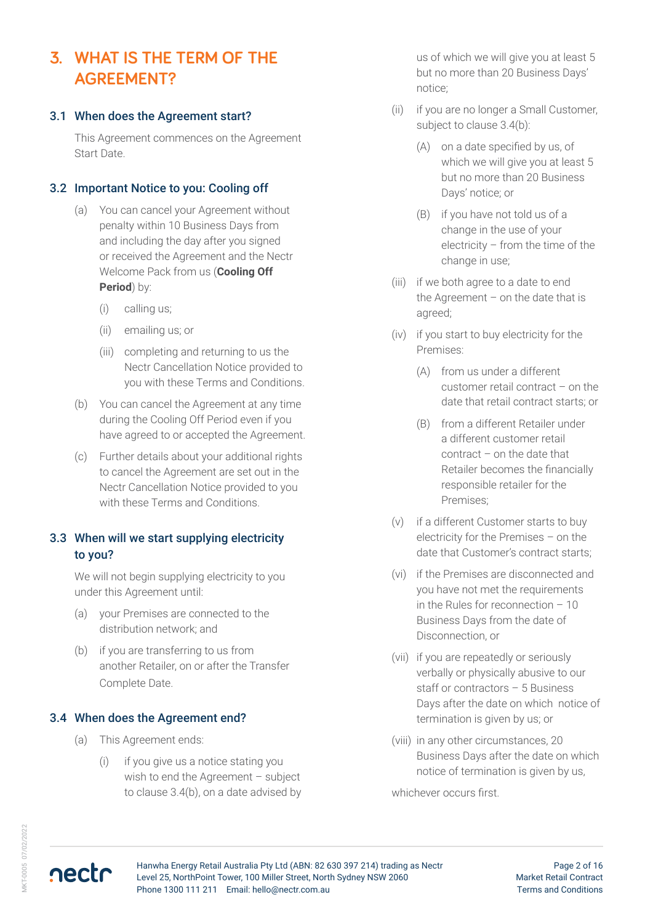# **3. WHAT IS THE TERM OF THE AGREEMENT?**

#### 3.1 When does the Agreement start?

This Agreement commences on the Agreement Start Date.

#### 3.2 Important Notice to you: Cooling off

- (a) You can cancel your Agreement without penalty within 10 Business Days from and including the day after you signed or received the Agreement and the Nectr Welcome Pack from us (**Cooling Off Period**) by:
	- (i) calling us;
	- (ii) emailing us; or
	- (iii) completing and returning to us the Nectr Cancellation Notice provided to you with these Terms and Conditions.
- (b) You can cancel the Agreement at any time during the Cooling Off Period even if you have agreed to or accepted the Agreement.
- (c) Further details about your additional rights to cancel the Agreement are set out in the Nectr Cancellation Notice provided to you with these Terms and Conditions.

#### 3.3 When will we start supplying electricity to you?

We will not begin supplying electricity to you under this Agreement until:

- (a) your Premises are connected to the distribution network; and
- (b) if you are transferring to us from another Retailer, on or after the Transfer Complete Date.

#### 3.4 When does the Agreement end?

- (a) This Agreement ends:
	- (i) if you give us a notice stating you wish to end the Agreement – subject to clause 3.4(b), on a date advised by

us of which we will give you at least 5 but no more than 20 Business Days' notice;

- (ii) if you are no longer a Small Customer, subject to clause 3.4(b):
	- (A) on a date specified by us, of which we will give you at least 5 but no more than 20 Business Days' notice; or
	- (B) if you have not told us of a change in the use of your electricity – from the time of the change in use;
- (iii) if we both agree to a date to end the Agreement – on the date that is agreed;
- (iv) if you start to buy electricity for the Premises:
	- (A) from us under a different customer retail contract – on the date that retail contract starts; or
	- (B) from a different Retailer under a different customer retail contract – on the date that Retailer becomes the financially responsible retailer for the Premises;
- (v) if a different Customer starts to buy electricity for the Premises – on the date that Customer's contract starts;
- (vi) if the Premises are disconnected and you have not met the requirements in the Rules for reconnection – 10 Business Days from the date of Disconnection, or
- (vii) if you are repeatedly or seriously verbally or physically abusive to our staff or contractors – 5 Business Days after the date on which notice of termination is given by us; or
- (viii) in any other circumstances, 20 Business Days after the date on which notice of termination is given by us,

whichever occurs first.

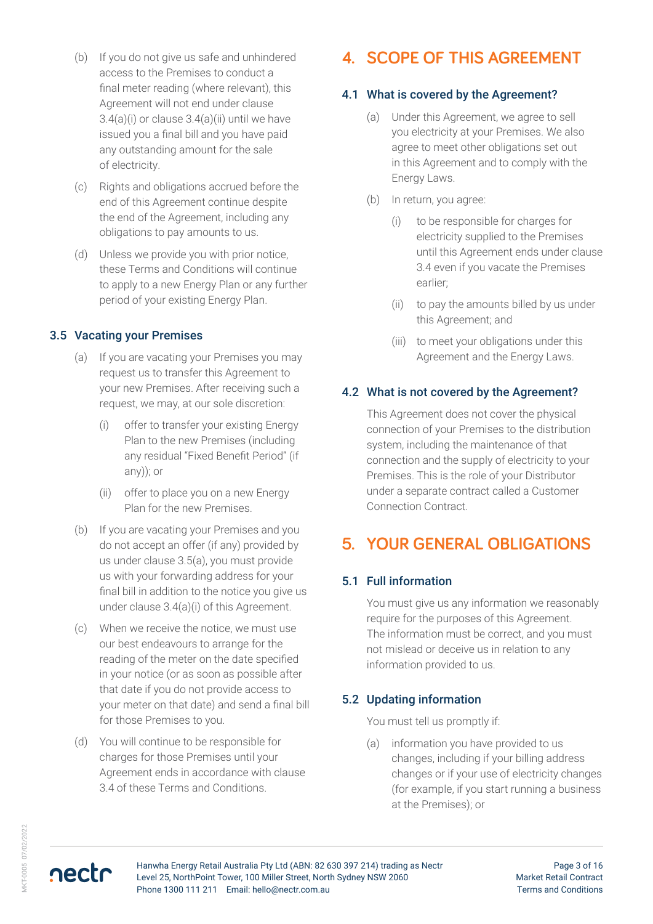- (b) If you do not give us safe and unhindered access to the Premises to conduct a final meter reading (where relevant), this Agreement will not end under clause  $3.4(a)(i)$  or clause  $3.4(a)(ii)$  until we have issued you a final bill and you have paid any outstanding amount for the sale of electricity.
- (c) Rights and obligations accrued before the end of this Agreement continue despite the end of the Agreement, including any obligations to pay amounts to us.
- (d) Unless we provide you with prior notice, these Terms and Conditions will continue to apply to a new Energy Plan or any further period of your existing Energy Plan.

#### 3.5 Vacating your Premises

- (a) If you are vacating your Premises you may request us to transfer this Agreement to your new Premises. After receiving such a request, we may, at our sole discretion:
	- (i) offer to transfer your existing Energy Plan to the new Premises (including any residual "Fixed Benefit Period" (if any)); or
	- (ii) offer to place you on a new Energy Plan for the new Premises.
- (b) If you are vacating your Premises and you do not accept an offer (if any) provided by us under clause 3.5(a), you must provide us with your forwarding address for your final bill in addition to the notice you give us under clause 3.4(a)(i) of this Agreement.
- (c) When we receive the notice, we must use our best endeavours to arrange for the reading of the meter on the date specified in your notice (or as soon as possible after that date if you do not provide access to your meter on that date) and send a final bill for those Premises to you.
- (d) You will continue to be responsible for charges for those Premises until your Agreement ends in accordance with clause 3.4 of these Terms and Conditions.

# **4. SCOPE OF THIS AGREEMENT**

### 4.1 What is covered by the Agreement?

- (a) Under this Agreement, we agree to sell you electricity at your Premises. We also agree to meet other obligations set out in this Agreement and to comply with the Energy Laws.
- (b) In return, you agree:
	- (i) to be responsible for charges for electricity supplied to the Premises until this Agreement ends under clause 3.4 even if you vacate the Premises earlier;
	- (ii) to pay the amounts billed by us under this Agreement; and
	- (iii) to meet your obligations under this Agreement and the Energy Laws.

#### 4.2 What is not covered by the Agreement?

This Agreement does not cover the physical connection of your Premises to the distribution system, including the maintenance of that connection and the supply of electricity to your Premises. This is the role of your Distributor under a separate contract called a Customer Connection Contract.

# **5. YOUR GENERAL OBLIGATIONS**

#### 5.1 Full information

You must give us any information we reasonably require for the purposes of this Agreement. The information must be correct, and you must not mislead or deceive us in relation to any information provided to us.

#### 5.2 Updating information

You must tell us promptly if:

(a) information you have provided to us changes, including if your billing address changes or if your use of electricity changes (for example, if you start running a business at the Premises); or

nectr

Hanwha Energy Retail Australia Pty Ltd (ABN: 82 630 397 214) trading as Nectr Level 25, NorthPoint Tower, 100 Miller Street, North Sydney NSW 2060 Phone 1300 111 211 Email: hello@nectr.com.au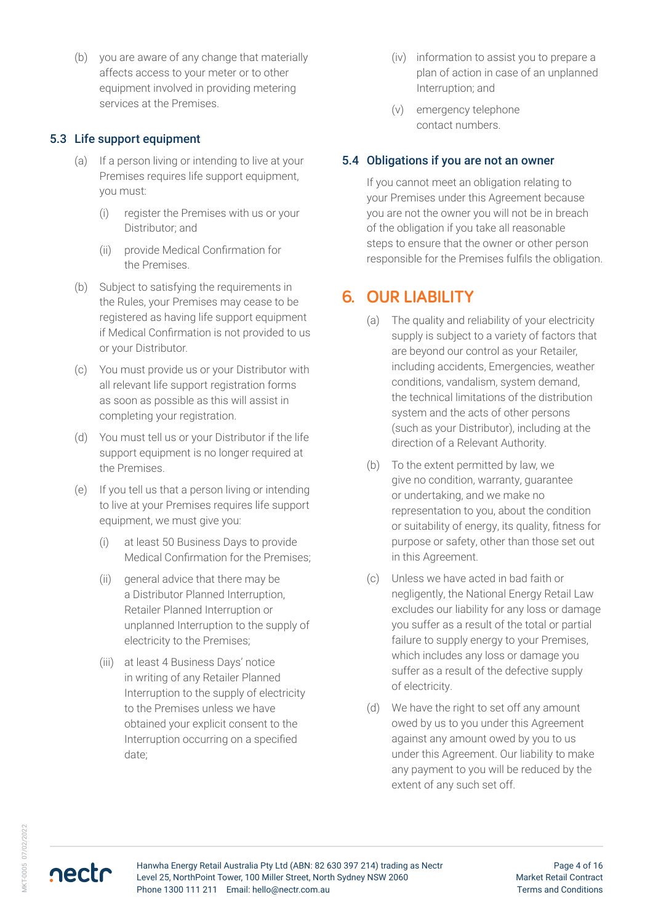(b) you are aware of any change that materially affects access to your meter or to other equipment involved in providing metering services at the Premises.

#### 5.3 Life support equipment

- (a) If a person living or intending to live at your Premises requires life support equipment, you must:
	- (i) register the Premises with us or your Distributor; and
	- (ii) provide Medical Confirmation for the Premises.
- (b) Subject to satisfying the requirements in the Rules, your Premises may cease to be registered as having life support equipment if Medical Confirmation is not provided to us or your Distributor.
- (c) You must provide us or your Distributor with all relevant life support registration forms as soon as possible as this will assist in completing your registration.
- (d) You must tell us or your Distributor if the life support equipment is no longer required at the Premises.
- (e) If you tell us that a person living or intending to live at your Premises requires life support equipment, we must give you:
	- (i) at least 50 Business Days to provide Medical Confirmation for the Premises;
	- (ii) general advice that there may be a Distributor Planned Interruption, Retailer Planned Interruption or unplanned Interruption to the supply of electricity to the Premises;
	- (iii) at least 4 Business Days' notice in writing of any Retailer Planned Interruption to the supply of electricity to the Premises unless we have obtained your explicit consent to the Interruption occurring on a specified date;
- (iv) information to assist you to prepare a plan of action in case of an unplanned Interruption; and
- (v) emergency telephone contact numbers.

#### 5.4 Obligations if you are not an owner

If you cannot meet an obligation relating to your Premises under this Agreement because you are not the owner you will not be in breach of the obligation if you take all reasonable steps to ensure that the owner or other person responsible for the Premises fulfils the obligation.

### **6. OUR LIABILITY**

- (a) The quality and reliability of your electricity supply is subject to a variety of factors that are beyond our control as your Retailer, including accidents, Emergencies, weather conditions, vandalism, system demand, the technical limitations of the distribution system and the acts of other persons (such as your Distributor), including at the direction of a Relevant Authority.
- (b) To the extent permitted by law, we give no condition, warranty, guarantee or undertaking, and we make no representation to you, about the condition or suitability of energy, its quality, fitness for purpose or safety, other than those set out in this Agreement.
- (c) Unless we have acted in bad faith or negligently, the National Energy Retail Law excludes our liability for any loss or damage you suffer as a result of the total or partial failure to supply energy to your Premises, which includes any loss or damage you suffer as a result of the defective supply of electricity.
- (d) We have the right to set off any amount owed by us to you under this Agreement against any amount owed by you to us under this Agreement. Our liability to make any payment to you will be reduced by the extent of any such set off.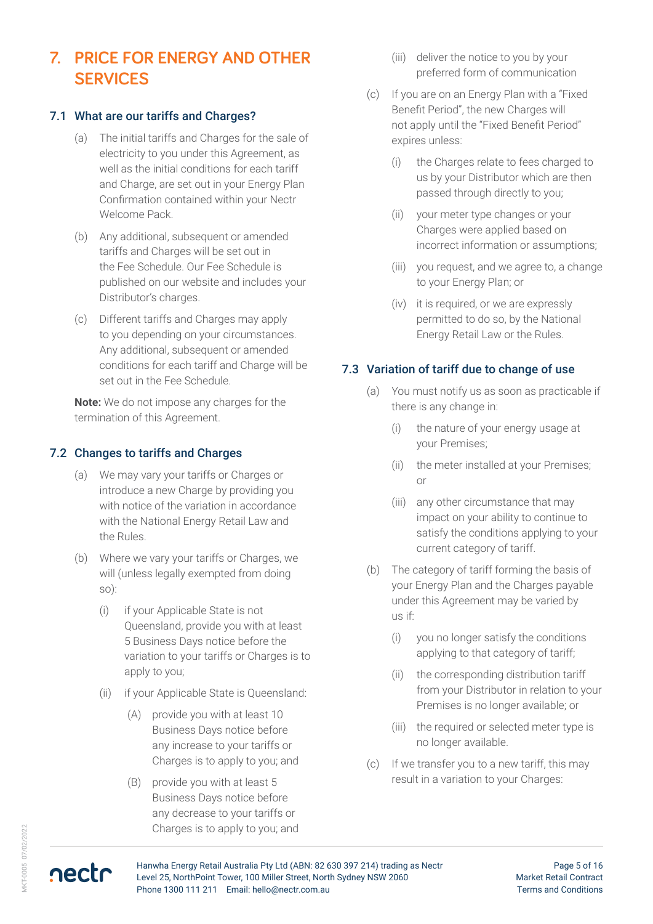# **7. PRICE FOR ENERGY AND OTHER SERVICES**

#### 7.1 What are our tariffs and Charges?

- (a) The initial tariffs and Charges for the sale of electricity to you under this Agreement, as well as the initial conditions for each tariff and Charge, are set out in your Energy Plan Confirmation contained within your Nectr Welcome Pack.
- (b) Any additional, subsequent or amended tariffs and Charges will be set out in the Fee Schedule. Our Fee Schedule is published on our website and includes your Distributor's charges.
- (c) Different tariffs and Charges may apply to you depending on your circumstances. Any additional, subsequent or amended conditions for each tariff and Charge will be set out in the Fee Schedule.

**Note:** We do not impose any charges for the termination of this Agreement.

#### 7.2 Changes to tariffs and Charges

- (a) We may vary your tariffs or Charges or introduce a new Charge by providing you with notice of the variation in accordance with the National Energy Retail Law and the Rules.
- (b) Where we vary your tariffs or Charges, we will (unless legally exempted from doing so):
	- (i) if your Applicable State is not Queensland, provide you with at least 5 Business Days notice before the variation to your tariffs or Charges is to apply to you;
	- (ii) if your Applicable State is Queensland:
		- (A) provide you with at least 10 Business Days notice before any increase to your tariffs or Charges is to apply to you; and
		- (B) provide you with at least 5 Business Days notice before any decrease to your tariffs or Charges is to apply to you; and
- (iii) deliver the notice to you by your preferred form of communication
- (c) If you are on an Energy Plan with a "Fixed Benefit Period", the new Charges will not apply until the "Fixed Benefit Period" expires unless:
	- (i) the Charges relate to fees charged to us by your Distributor which are then passed through directly to you;
	- (ii) your meter type changes or your Charges were applied based on incorrect information or assumptions;
	- (iii) you request, and we agree to, a change to your Energy Plan; or
	- (iv) it is required, or we are expressly permitted to do so, by the National Energy Retail Law or the Rules.

#### 7.3 Variation of tariff due to change of use

- (a) You must notify us as soon as practicable if there is any change in:
	- (i) the nature of your energy usage at your Premises;
	- (ii) the meter installed at your Premises; or
	- (iii) any other circumstance that may impact on your ability to continue to satisfy the conditions applying to your current category of tariff.
- (b) The category of tariff forming the basis of your Energy Plan and the Charges payable under this Agreement may be varied by us if:
	- (i) you no longer satisfy the conditions applying to that category of tariff;
	- (ii) the corresponding distribution tariff from your Distributor in relation to your Premises is no longer available; or
	- (iii) the required or selected meter type is no longer available.
- (c) If we transfer you to a new tariff, this may result in a variation to your Charges: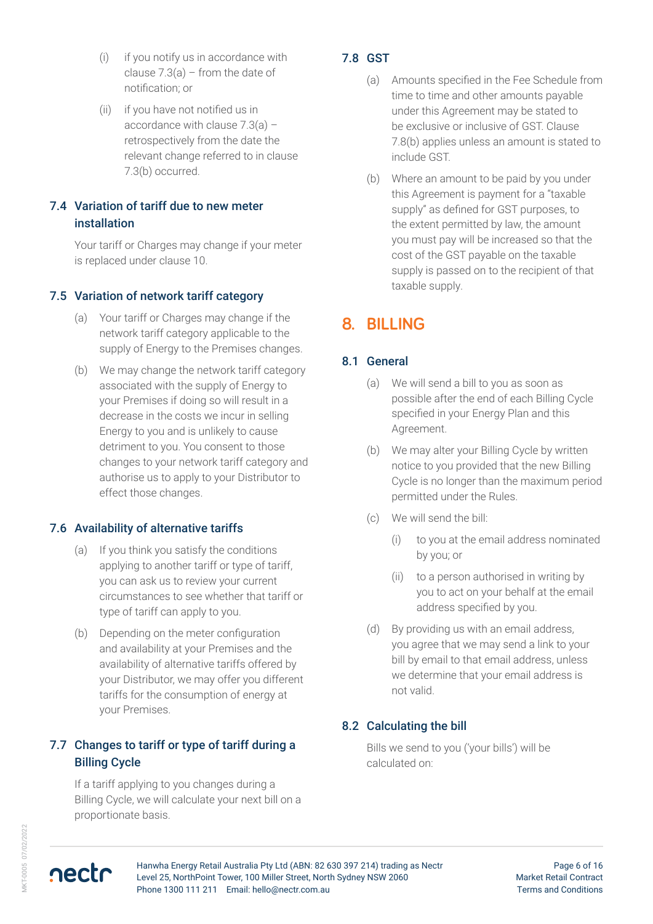- (i) if you notify us in accordance with clause  $7.3(a)$  – from the date of notification; or
- (ii) if you have not notified us in accordance with clause 7.3(a) – retrospectively from the date the relevant change referred to in clause 7.3(b) occurred.

#### 7.4 Variation of tariff due to new meter installation

Your tariff or Charges may change if your meter is replaced under clause 10.

#### 7.5 Variation of network tariff category

- (a) Your tariff or Charges may change if the network tariff category applicable to the supply of Energy to the Premises changes.
- (b) We may change the network tariff category associated with the supply of Energy to your Premises if doing so will result in a decrease in the costs we incur in selling Energy to you and is unlikely to cause detriment to you. You consent to those changes to your network tariff category and authorise us to apply to your Distributor to effect those changes.

#### 7.6 Availability of alternative tariffs

- (a) If you think you satisfy the conditions applying to another tariff or type of tariff, you can ask us to review your current circumstances to see whether that tariff or type of tariff can apply to you.
- (b) Depending on the meter configuration and availability at your Premises and the availability of alternative tariffs offered by your Distributor, we may offer you different tariffs for the consumption of energy at your Premises.

#### 7.7 Changes to tariff or type of tariff during a Billing Cycle

If a tariff applying to you changes during a Billing Cycle, we will calculate your next bill on a proportionate basis.

#### 7.8 GST

- (a) Amounts specified in the Fee Schedule from time to time and other amounts payable under this Agreement may be stated to be exclusive or inclusive of GST. Clause 7.8(b) applies unless an amount is stated to include GST.
- (b) Where an amount to be paid by you under this Agreement is payment for a "taxable supply" as defined for GST purposes, to the extent permitted by law, the amount you must pay will be increased so that the cost of the GST payable on the taxable supply is passed on to the recipient of that taxable supply.

# **8. BILLING**

#### 8.1 General

- (a) We will send a bill to you as soon as possible after the end of each Billing Cycle specified in your Energy Plan and this Agreement.
- (b) We may alter your Billing Cycle by written notice to you provided that the new Billing Cycle is no longer than the maximum period permitted under the Rules.
- (c) We will send the bill:
	- (i) to you at the email address nominated by you; or
	- (ii) to a person authorised in writing by you to act on your behalf at the email address specified by you.
- (d) By providing us with an email address, you agree that we may send a link to your bill by email to that email address, unless we determine that your email address is not valid.

#### 8.2 Calculating the bill

Bills we send to you ('your bills') will be calculated on:

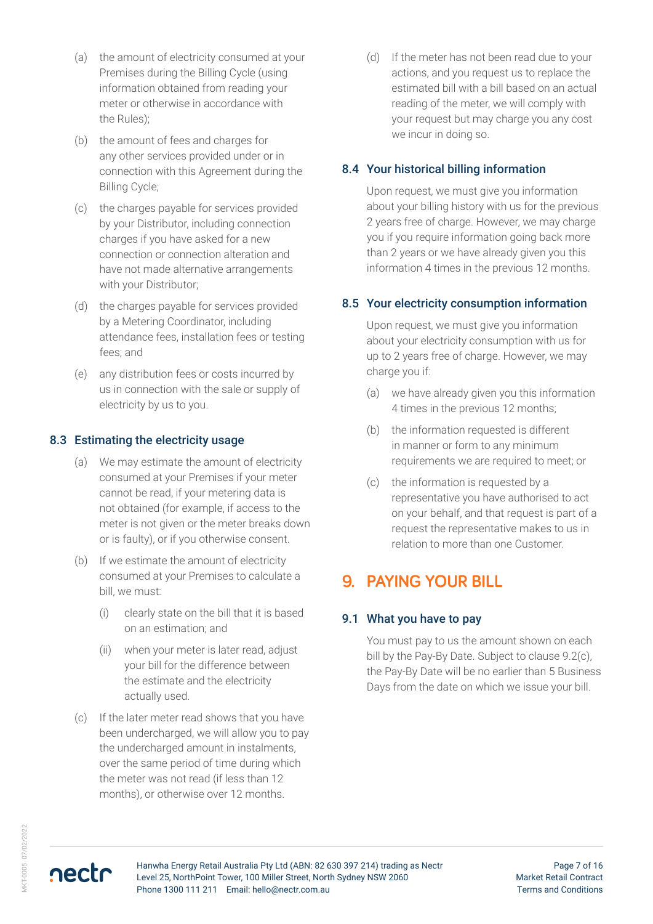- (a) the amount of electricity consumed at your Premises during the Billing Cycle (using information obtained from reading your meter or otherwise in accordance with the Rules);
- (b) the amount of fees and charges for any other services provided under or in connection with this Agreement during the Billing Cycle;
- (c) the charges payable for services provided by your Distributor, including connection charges if you have asked for a new connection or connection alteration and have not made alternative arrangements with your Distributor;
- (d) the charges payable for services provided by a Metering Coordinator, including attendance fees, installation fees or testing fees; and
- (e) any distribution fees or costs incurred by us in connection with the sale or supply of electricity by us to you.

#### 8.3 Estimating the electricity usage

- (a) We may estimate the amount of electricity consumed at your Premises if your meter cannot be read, if your metering data is not obtained (for example, if access to the meter is not given or the meter breaks down or is faulty), or if you otherwise consent.
- (b) If we estimate the amount of electricity consumed at your Premises to calculate a bill, we must:
	- (i) clearly state on the bill that it is based on an estimation; and
	- (ii) when your meter is later read, adjust your bill for the difference between the estimate and the electricity actually used.
- (c) If the later meter read shows that you have been undercharged, we will allow you to pay the undercharged amount in instalments, over the same period of time during which the meter was not read (if less than 12 months), or otherwise over 12 months.

(d) If the meter has not been read due to your actions, and you request us to replace the estimated bill with a bill based on an actual reading of the meter, we will comply with your request but may charge you any cost we incur in doing so.

#### 8.4 Your historical billing information

Upon request, we must give you information about your billing history with us for the previous 2 years free of charge. However, we may charge you if you require information going back more than 2 years or we have already given you this information 4 times in the previous 12 months.

#### 8.5 Your electricity consumption information

Upon request, we must give you information about your electricity consumption with us for up to 2 years free of charge. However, we may charge you if:

- (a) we have already given you this information 4 times in the previous 12 months;
- (b) the information requested is different in manner or form to any minimum requirements we are required to meet; or
- (c) the information is requested by a representative you have authorised to act on your behalf, and that request is part of a request the representative makes to us in relation to more than one Customer.

### **9. PAYING YOUR BILL**

#### 9.1 What you have to pay

You must pay to us the amount shown on each bill by the Pay-By Date. Subject to clause 9.2(c), the Pay-By Date will be no earlier than 5 Business Days from the date on which we issue your bill.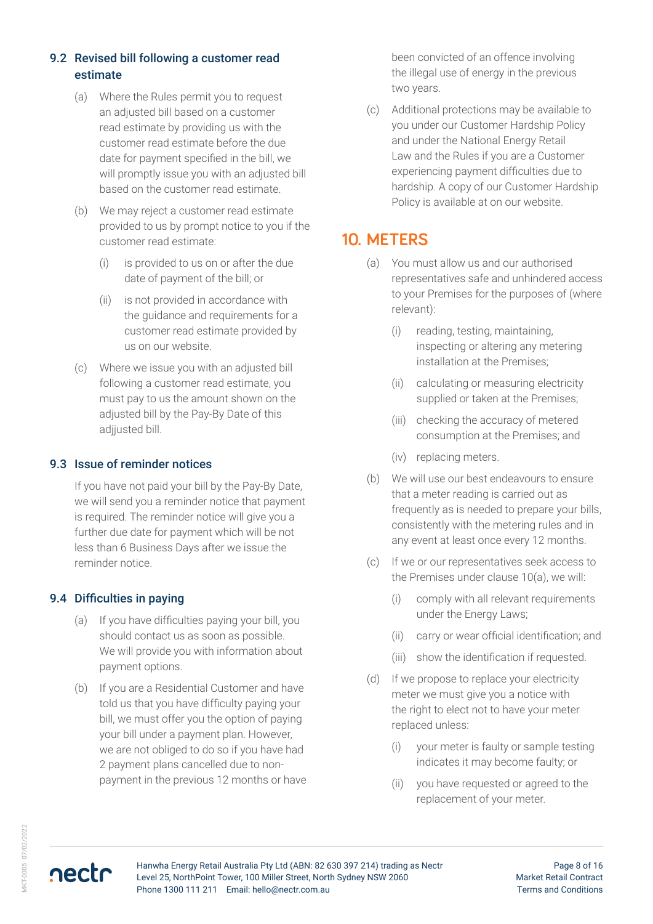#### 9.2 Revised bill following a customer read estimate

- (a) Where the Rules permit you to request an adjusted bill based on a customer read estimate by providing us with the customer read estimate before the due date for payment specified in the bill, we will promptly issue you with an adjusted bill based on the customer read estimate.
- (b) We may reject a customer read estimate provided to us by prompt notice to you if the customer read estimate:
	- (i) is provided to us on or after the due date of payment of the bill; or
	- (ii) is not provided in accordance with the guidance and requirements for a customer read estimate provided by us on our website.
- (c) Where we issue you with an adjusted bill following a customer read estimate, you must pay to us the amount shown on the adjusted bill by the Pay-By Date of this adijusted bill.

#### 9.3 Issue of reminder notices

If you have not paid your bill by the Pay-By Date, we will send you a reminder notice that payment is required. The reminder notice will give you a further due date for payment which will be not less than 6 Business Days after we issue the reminder notice.

#### 9.4 Difficulties in paying

- (a) If you have difficulties paying your bill, you should contact us as soon as possible. We will provide you with information about payment options.
- (b) If you are a Residential Customer and have told us that you have difficulty paying your bill, we must offer you the option of paying your bill under a payment plan. However, we are not obliged to do so if you have had 2 payment plans cancelled due to nonpayment in the previous 12 months or have

been convicted of an offence involving the illegal use of energy in the previous two years.

(c) Additional protections may be available to you under our Customer Hardship Policy and under the National Energy Retail Law and the Rules if you are a Customer experiencing payment difficulties due to hardship. A copy of our Customer Hardship Policy is available at on our website.

### **10. METERS**

- (a) You must allow us and our authorised representatives safe and unhindered access to your Premises for the purposes of (where relevant):
	- (i) reading, testing, maintaining, inspecting or altering any metering installation at the Premises;
	- (ii) calculating or measuring electricity supplied or taken at the Premises;
	- (iii) checking the accuracy of metered consumption at the Premises; and
	- (iv) replacing meters.
- (b) We will use our best endeavours to ensure that a meter reading is carried out as frequently as is needed to prepare your bills, consistently with the metering rules and in any event at least once every 12 months.
- (c) If we or our representatives seek access to the Premises under clause 10(a), we will:
	- (i) comply with all relevant requirements under the Energy Laws;
	- (ii) carry or wear official identification; and
	- (iii) show the identification if requested.
- (d) If we propose to replace your electricity meter we must give you a notice with the right to elect not to have your meter replaced unless:
	- (i) your meter is faulty or sample testing indicates it may become faulty; or
	- (ii) you have requested or agreed to the replacement of your meter.

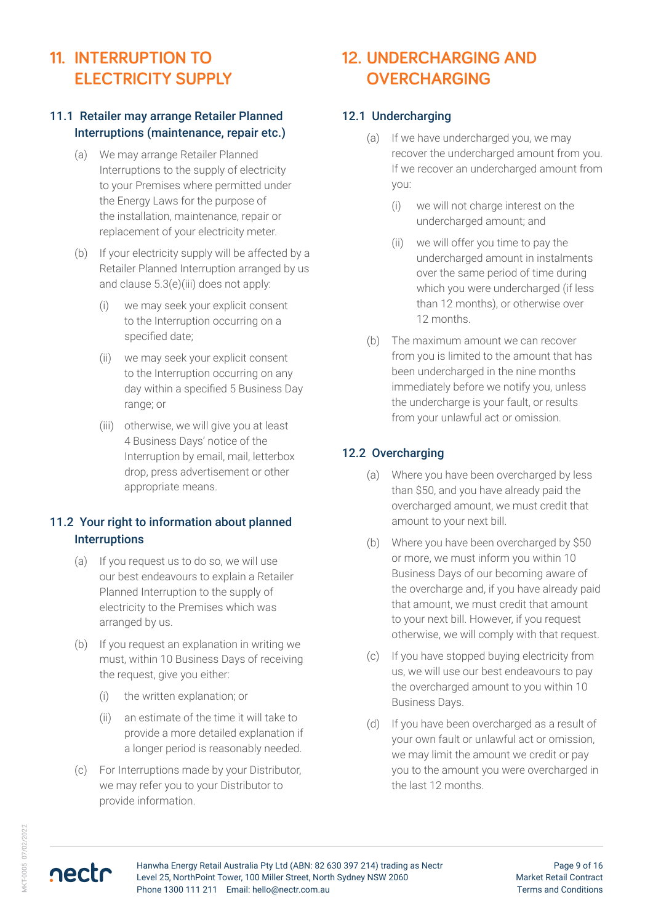# **11. INTERRUPTION TO ELECTRICITY SUPPLY**

#### 11.1 Retailer may arrange Retailer Planned Interruptions (maintenance, repair etc.)

- (a) We may arrange Retailer Planned Interruptions to the supply of electricity to your Premises where permitted under the Energy Laws for the purpose of the installation, maintenance, repair or replacement of your electricity meter.
- (b) If your electricity supply will be affected by a Retailer Planned Interruption arranged by us and clause 5.3(e)(iii) does not apply:
	- (i) we may seek your explicit consent to the Interruption occurring on a specified date;
	- (ii) we may seek your explicit consent to the Interruption occurring on any day within a specified 5 Business Day range; or
	- (iii) otherwise, we will give you at least 4 Business Days' notice of the Interruption by email, mail, letterbox drop, press advertisement or other appropriate means.

#### 11.2 Your right to information about planned **Interruptions**

- (a) If you request us to do so, we will use our best endeavours to explain a Retailer Planned Interruption to the supply of electricity to the Premises which was arranged by us.
- (b) If you request an explanation in writing we must, within 10 Business Days of receiving the request, give you either:
	- (i) the written explanation; or
	- (ii) an estimate of the time it will take to provide a more detailed explanation if a longer period is reasonably needed.
- (c) For Interruptions made by your Distributor, we may refer you to your Distributor to provide information.

# **12. UNDERCHARGING AND OVERCHARGING**

#### 12.1 Undercharging

- (a) If we have undercharged you, we may recover the undercharged amount from you. If we recover an undercharged amount from you:
	- (i) we will not charge interest on the undercharged amount; and
	- (ii) we will offer you time to pay the undercharged amount in instalments over the same period of time during which you were undercharged (if less than 12 months), or otherwise over 12 months.
- (b) The maximum amount we can recover from you is limited to the amount that has been undercharged in the nine months immediately before we notify you, unless the undercharge is your fault, or results from your unlawful act or omission.

#### 12.2 Overcharging

- (a) Where you have been overcharged by less than \$50, and you have already paid the overcharged amount, we must credit that amount to your next bill.
- (b) Where you have been overcharged by \$50 or more, we must inform you within 10 Business Days of our becoming aware of the overcharge and, if you have already paid that amount, we must credit that amount to your next bill. However, if you request otherwise, we will comply with that request.
- (c) If you have stopped buying electricity from us, we will use our best endeavours to pay the overcharged amount to you within 10 Business Days.
- (d) If you have been overcharged as a result of your own fault or unlawful act or omission, we may limit the amount we credit or pay you to the amount you were overcharged in the last 12 months.

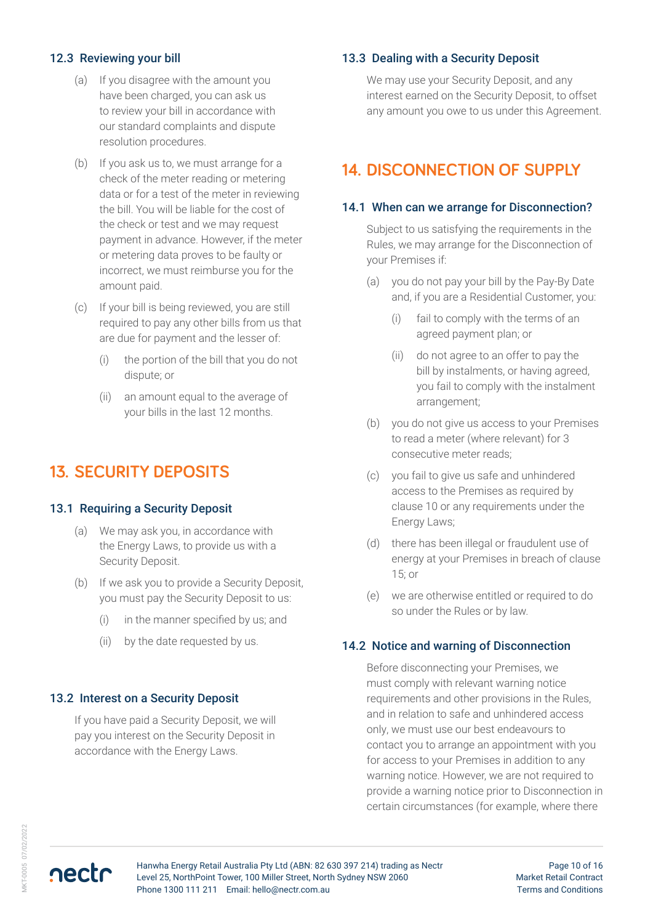#### 12.3 Reviewing your bill

- (a) If you disagree with the amount you have been charged, you can ask us to review your bill in accordance with our standard complaints and dispute resolution procedures.
- (b) If you ask us to, we must arrange for a check of the meter reading or metering data or for a test of the meter in reviewing the bill. You will be liable for the cost of the check or test and we may request payment in advance. However, if the meter or metering data proves to be faulty or incorrect, we must reimburse you for the amount paid.
- (c) If your bill is being reviewed, you are still required to pay any other bills from us that are due for payment and the lesser of:
	- (i) the portion of the bill that you do not dispute; or
	- (ii) an amount equal to the average of your bills in the last 12 months.

### **13. SECURITY DEPOSITS**

#### 13.1 Requiring a Security Deposit

- (a) We may ask you, in accordance with the Energy Laws, to provide us with a Security Deposit.
- (b) If we ask you to provide a Security Deposit, you must pay the Security Deposit to us:
	- (i) in the manner specified by us; and
	- (ii) by the date requested by us.

#### 13.2 Interest on a Security Deposit

If you have paid a Security Deposit, we will pay you interest on the Security Deposit in accordance with the Energy Laws.

#### 13.3 Dealing with a Security Deposit

We may use your Security Deposit, and any interest earned on the Security Deposit, to offset any amount you owe to us under this Agreement.

### **14. DISCONNECTION OF SUPPLY**

#### 14.1 When can we arrange for Disconnection?

Subject to us satisfying the requirements in the Rules, we may arrange for the Disconnection of your Premises if:

- (a) you do not pay your bill by the Pay-By Date and, if you are a Residential Customer, you:
	- (i) fail to comply with the terms of an agreed payment plan; or
	- (ii) do not agree to an offer to pay the bill by instalments, or having agreed, you fail to comply with the instalment arrangement;
- (b) you do not give us access to your Premises to read a meter (where relevant) for 3 consecutive meter reads;
- (c) you fail to give us safe and unhindered access to the Premises as required by clause 10 or any requirements under the Energy Laws;
- (d) there has been illegal or fraudulent use of energy at your Premises in breach of clause 15; or
- (e) we are otherwise entitled or required to do so under the Rules or by law.

#### 14.2 Notice and warning of Disconnection

Before disconnecting your Premises, we must comply with relevant warning notice requirements and other provisions in the Rules, and in relation to safe and unhindered access only, we must use our best endeavours to contact you to arrange an appointment with you for access to your Premises in addition to any warning notice. However, we are not required to provide a warning notice prior to Disconnection in certain circumstances (for example, where there

nectr

Hanwha Energy Retail Australia Pty Ltd (ABN: 82 630 397 214) trading as Nectr Level 25, NorthPoint Tower, 100 Miller Street, North Sydney NSW 2060 Phone 1300 111 211 Email: hello@nectr.com.au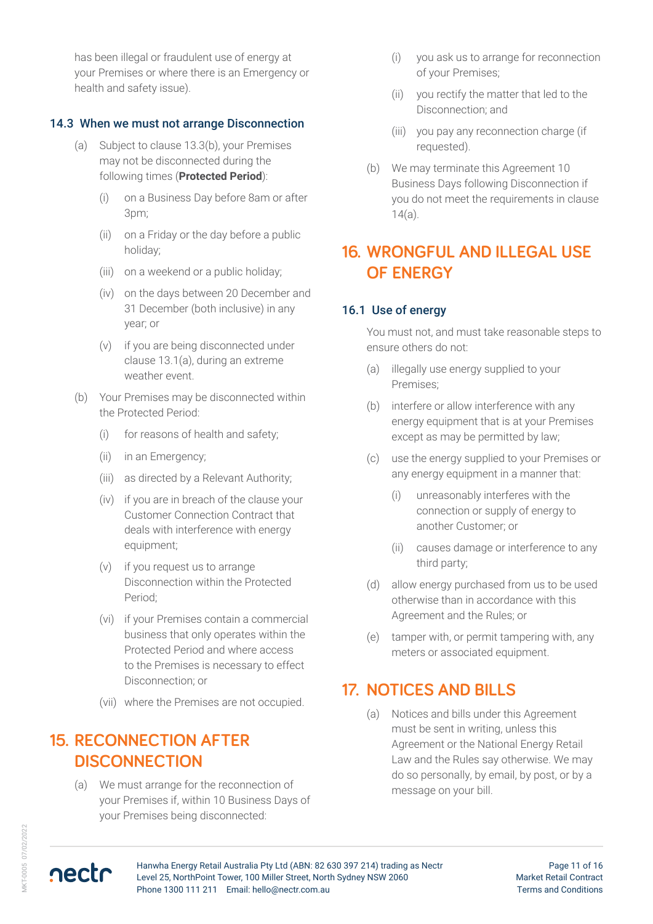has been illegal or fraudulent use of energy at your Premises or where there is an Emergency or health and safety issue).

#### 14.3 When we must not arrange Disconnection

- (a) Subject to clause 13.3(b), your Premises may not be disconnected during the following times (**Protected Period**):
	- (i) on a Business Day before 8am or after 3pm;
	- (ii) on a Friday or the day before a public holiday;
	- (iii) on a weekend or a public holiday;
	- (iv) on the days between 20 December and 31 December (both inclusive) in any year; or
	- (v) if you are being disconnected under clause 13.1(a), during an extreme weather event.
- (b) Your Premises may be disconnected within the Protected Period:
	- (i) for reasons of health and safety;
	- (ii) in an Emergency;
	- (iii) as directed by a Relevant Authority;
	- (iv) if you are in breach of the clause your Customer Connection Contract that deals with interference with energy equipment;
	- (v) if you request us to arrange Disconnection within the Protected Period;
	- (vi) if your Premises contain a commercial business that only operates within the Protected Period and where access to the Premises is necessary to effect Disconnection; or
	- (vii) where the Premises are not occupied.

### **15. RECONNECTION AFTER DISCONNECTION**

(a) We must arrange for the reconnection of your Premises if, within 10 Business Days of your Premises being disconnected:

- (i) you ask us to arrange for reconnection of your Premises;
- (ii) you rectify the matter that led to the Disconnection; and
- (iii) you pay any reconnection charge (if requested).
- (b) We may terminate this Agreement 10 Business Days following Disconnection if you do not meet the requirements in clause 14(a).

### **16. WRONGFUL AND ILLEGAL USE OF ENERGY**

#### 16.1 Use of energy

You must not, and must take reasonable steps to ensure others do not:

- (a) illegally use energy supplied to your Premises;
- (b) interfere or allow interference with any energy equipment that is at your Premises except as may be permitted by law;
- (c) use the energy supplied to your Premises or any energy equipment in a manner that:
	- (i) unreasonably interferes with the connection or supply of energy to another Customer; or
	- (ii) causes damage or interference to any third party;
- (d) allow energy purchased from us to be used otherwise than in accordance with this Agreement and the Rules; or
- (e) tamper with, or permit tampering with, any meters or associated equipment.

### **17. NOTICES AND BILLS**

(a) Notices and bills under this Agreement must be sent in writing, unless this Agreement or the National Energy Retail Law and the Rules say otherwise. We may do so personally, by email, by post, or by a message on your bill.



nectr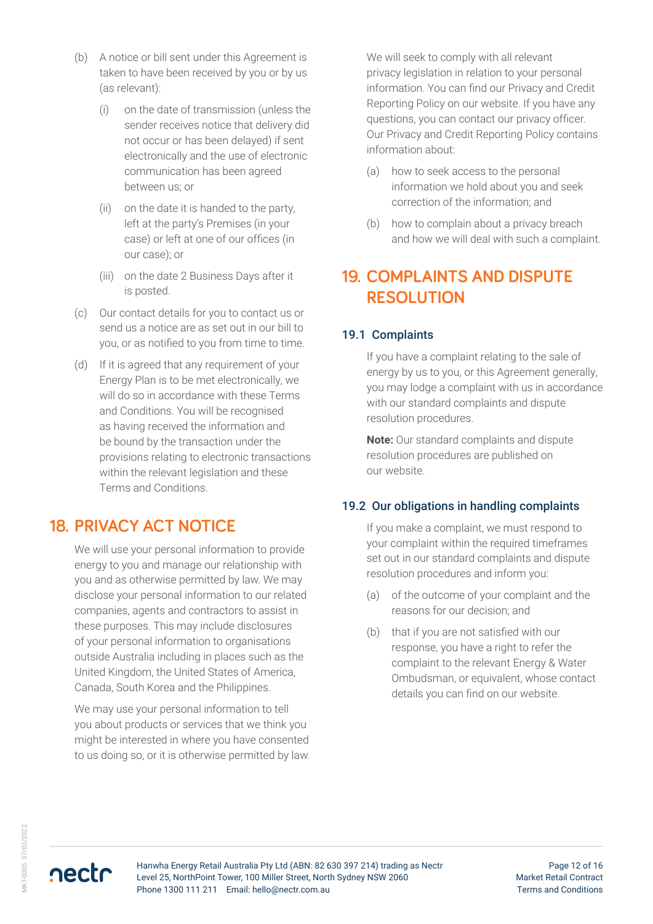- (b) A notice or bill sent under this Agreement is taken to have been received by you or by us (as relevant):
	- (i) on the date of transmission (unless the sender receives notice that delivery did not occur or has been delayed) if sent electronically and the use of electronic communication has been agreed between us; or
	- (ii) on the date it is handed to the party, left at the party's Premises (in your case) or left at one of our offices (in our case); or
	- (iii) on the date 2 Business Days after it is posted.
- (c) Our contact details for you to contact us or send us a notice are as set out in our bill to you, or as notified to you from time to time.
- (d) If it is agreed that any requirement of your Energy Plan is to be met electronically, we will do so in accordance with these Terms and Conditions. You will be recognised as having received the information and be bound by the transaction under the provisions relating to electronic transactions within the relevant legislation and these Terms and Conditions.

### **18. PRIVACY ACT NOTICE**

We will use your personal information to provide energy to you and manage our relationship with you and as otherwise permitted by law. We may disclose your personal information to our related companies, agents and contractors to assist in these purposes. This may include disclosures of your personal information to organisations outside Australia including in places such as the United Kingdom, the United States of America, Canada, South Korea and the Philippines.

We may use your personal information to tell you about products or services that we think you might be interested in where you have consented to us doing so, or it is otherwise permitted by law. We will seek to comply with all relevant privacy legislation in relation to your personal information. You can find our Privacy and Credit Reporting Policy on our website. If you have any questions, you can contact our privacy officer. Our Privacy and Credit Reporting Policy contains information about:

- (a) how to seek access to the personal information we hold about you and seek correction of the information; and
- (b) how to complain about a privacy breach and how we will deal with such a complaint.

### **19. COMPLAINTS AND DISPUTE RESOLUTION**

#### 19.1 Complaints

If you have a complaint relating to the sale of energy by us to you, or this Agreement generally, you may lodge a complaint with us in accordance with our standard complaints and dispute resolution procedures.

**Note:** Our standard complaints and dispute resolution procedures are published on our website.

#### 19.2 Our obligations in handling complaints

If you make a complaint, we must respond to your complaint within the required timeframes set out in our standard complaints and dispute resolution procedures and inform you:

- (a) of the outcome of your complaint and the reasons for our decision; and
- (b) that if you are not satisfied with our response, you have a right to refer the complaint to the relevant Energy & Water Ombudsman, or equivalent, whose contact details you can find on our website.



Page 12 of 16 Market Retail Contract Terms and Conditions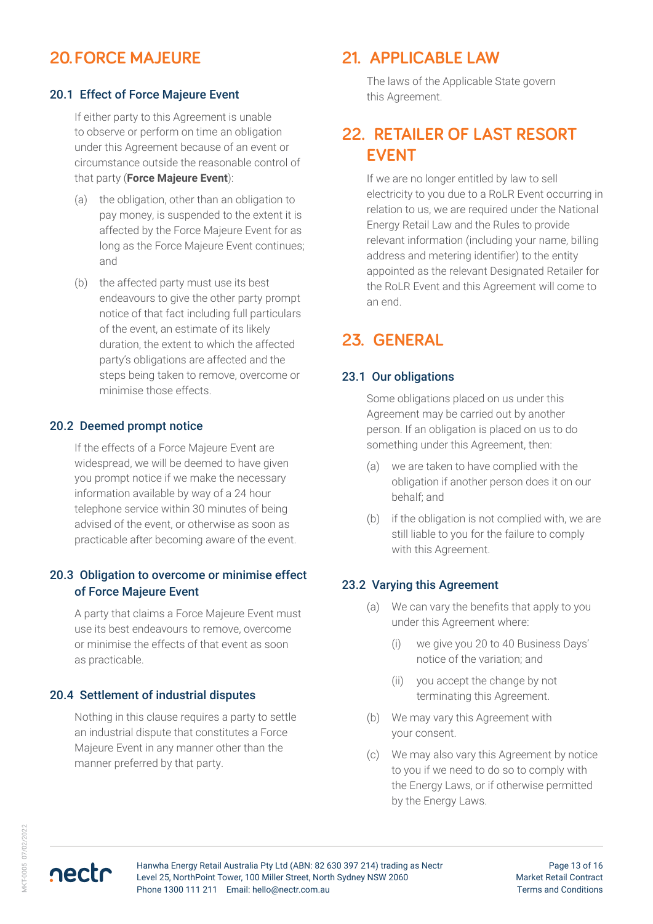### **20.FORCE MAJEURE**

#### 20.1 Effect of Force Majeure Event

If either party to this Agreement is unable to observe or perform on time an obligation under this Agreement because of an event or circumstance outside the reasonable control of that party (**Force Majeure Event**):

- (a) the obligation, other than an obligation to pay money, is suspended to the extent it is affected by the Force Majeure Event for as long as the Force Majeure Event continues; and
- (b) the affected party must use its best endeavours to give the other party prompt notice of that fact including full particulars of the event, an estimate of its likely duration, the extent to which the affected party's obligations are affected and the steps being taken to remove, overcome or minimise those effects.

#### 20.2 Deemed prompt notice

If the effects of a Force Majeure Event are widespread, we will be deemed to have given you prompt notice if we make the necessary information available by way of a 24 hour telephone service within 30 minutes of being advised of the event, or otherwise as soon as practicable after becoming aware of the event.

#### 20.3 Obligation to overcome or minimise effect of Force Majeure Event

A party that claims a Force Majeure Event must use its best endeavours to remove, overcome or minimise the effects of that event as soon as practicable.

#### 20.4 Settlement of industrial disputes

Nothing in this clause requires a party to settle an industrial dispute that constitutes a Force Majeure Event in any manner other than the manner preferred by that party.

### **21. APPLICABLE LAW**

The laws of the Applicable State govern this Agreement.

### **22. RETAILER OF LAST RESORT EVENT**

If we are no longer entitled by law to sell electricity to you due to a RoLR Event occurring in relation to us, we are required under the National Energy Retail Law and the Rules to provide relevant information (including your name, billing address and metering identifier) to the entity appointed as the relevant Designated Retailer for the RoLR Event and this Agreement will come to an end.

### **23. GENERAL**

#### 23.1 Our obligations

Some obligations placed on us under this Agreement may be carried out by another person. If an obligation is placed on us to do something under this Agreement, then:

- (a) we are taken to have complied with the obligation if another person does it on our behalf; and
- (b) if the obligation is not complied with, we are still liable to you for the failure to comply with this Agreement.

#### 23.2 Varying this Agreement

- (a) We can vary the benefits that apply to you under this Agreement where:
	- (i) we give you 20 to 40 Business Days' notice of the variation; and
	- (ii) you accept the change by not terminating this Agreement.
- (b) We may vary this Agreement with your consent.
- (c) We may also vary this Agreement by notice to you if we need to do so to comply with the Energy Laws, or if otherwise permitted by the Energy Laws.

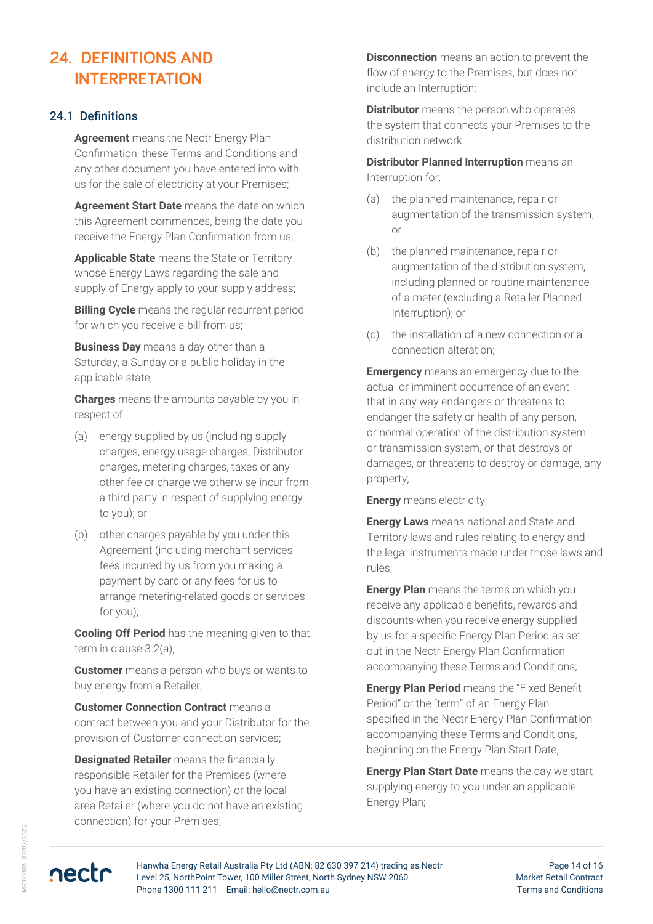# **24. DEFINITIONS AND INTERPRETATION**

#### 24.1 Definitions

**Agreement** means the Nectr Energy Plan Confirmation, these Terms and Conditions and any other document you have entered into with us for the sale of electricity at your Premises;

**Agreement Start Date** means the date on which this Agreement commences, being the date you receive the Energy Plan Confirmation from us;

**Applicable State** means the State or Territory whose Energy Laws regarding the sale and supply of Energy apply to your supply address;

**Billing Cycle** means the regular recurrent period for which you receive a bill from us;

**Business Day** means a day other than a Saturday, a Sunday or a public holiday in the applicable state;

**Charges** means the amounts payable by you in respect of:

- (a) energy supplied by us (including supply charges, energy usage charges, Distributor charges, metering charges, taxes or any other fee or charge we otherwise incur from a third party in respect of supplying energy to you); or
- (b) other charges payable by you under this Agreement (including merchant services fees incurred by us from you making a payment by card or any fees for us to arrange metering-related goods or services for you);

**Cooling Off Period** has the meaning given to that term in clause 3.2(a);

**Customer** means a person who buys or wants to buy energy from a Retailer;

**Customer Connection Contract** means a contract between you and your Distributor for the provision of Customer connection services;

**Designated Retailer** means the financially responsible Retailer for the Premises (where you have an existing connection) or the local area Retailer (where you do not have an existing connection) for your Premises;

**Disconnection** means an action to prevent the flow of energy to the Premises, but does not include an Interruption;

**Distributor** means the person who operates the system that connects your Premises to the distribution network;

**Distributor Planned Interruption** means an Interruption for:

- (a) the planned maintenance, repair or augmentation of the transmission system; or
- (b) the planned maintenance, repair or augmentation of the distribution system, including planned or routine maintenance of a meter (excluding a Retailer Planned Interruption); or
- (c) the installation of a new connection or a connection alteration;

**Emergency** means an emergency due to the actual or imminent occurrence of an event that in any way endangers or threatens to endanger the safety or health of any person, or normal operation of the distribution system or transmission system, or that destroys or damages, or threatens to destroy or damage, any property;

**Energy** means electricity;

**Energy Laws** means national and State and Territory laws and rules relating to energy and the legal instruments made under those laws and rules;

**Energy Plan** means the terms on which you receive any applicable benefits, rewards and discounts when you receive energy supplied by us for a specific Energy Plan Period as set out in the Nectr Energy Plan Confirmation accompanying these Terms and Conditions;

**Energy Plan Period** means the "Fixed Benefit Period" or the "term" of an Energy Plan specified in the Nectr Energy Plan Confirmation accompanying these Terms and Conditions, beginning on the Energy Plan Start Date;

**Energy Plan Start Date** means the day we start supplying energy to you under an applicable Energy Plan;

nectr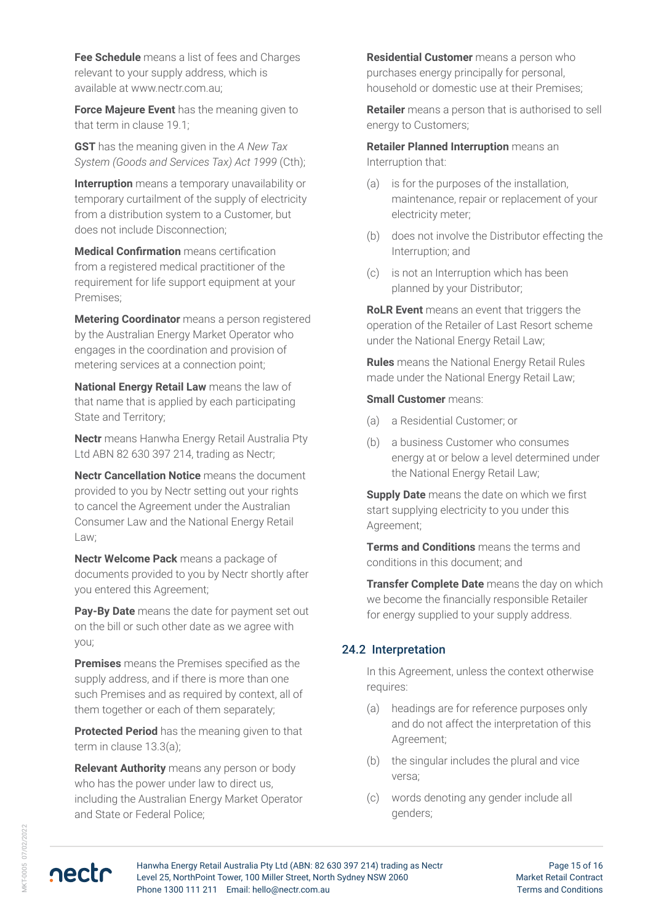**Fee Schedule** means a list of fees and Charges relevant to your supply address, which is available at www.nectr.com.au;

**Force Majeure Event** has the meaning given to that term in clause 19.1;

**GST** has the meaning given in the *A New Tax System (Goods and Services Tax) Act 1999* (Cth);

**Interruption** means a temporary unavailability or temporary curtailment of the supply of electricity from a distribution system to a Customer, but does not include Disconnection;

**Medical Confirmation** means certification from a registered medical practitioner of the requirement for life support equipment at your Premises;

**Metering Coordinator** means a person registered by the Australian Energy Market Operator who engages in the coordination and provision of metering services at a connection point;

**National Energy Retail Law** means the law of that name that is applied by each participating State and Territory;

**Nectr** means Hanwha Energy Retail Australia Pty Ltd ABN 82 630 397 214, trading as Nectr;

**Nectr Cancellation Notice** means the document provided to you by Nectr setting out your rights to cancel the Agreement under the Australian Consumer Law and the National Energy Retail Law;

**Nectr Welcome Pack** means a package of documents provided to you by Nectr shortly after you entered this Agreement;

**Pay-By Date** means the date for payment set out on the bill or such other date as we agree with you;

**Premises** means the Premises specified as the supply address, and if there is more than one such Premises and as required by context, all of them together or each of them separately;

**Protected Period** has the meaning given to that term in clause 13.3(a);

**Relevant Authority** means any person or body who has the power under law to direct us, including the Australian Energy Market Operator and State or Federal Police;

**Residential Customer** means a person who purchases energy principally for personal, household or domestic use at their Premises;

**Retailer** means a person that is authorised to sell energy to Customers;

**Retailer Planned Interruption** means an Interruption that:

- (a) is for the purposes of the installation, maintenance, repair or replacement of your electricity meter;
- (b) does not involve the Distributor effecting the Interruption; and
- (c) is not an Interruption which has been planned by your Distributor;

**RoLR Event** means an event that triggers the operation of the Retailer of Last Resort scheme under the National Energy Retail Law;

**Rules** means the National Energy Retail Rules made under the National Energy Retail Law;

#### **Small Customer** means:

- (a) a Residential Customer; or
- (b) a business Customer who consumes energy at or below a level determined under the National Energy Retail Law;

**Supply Date** means the date on which we first start supplying electricity to you under this Agreement;

**Terms and Conditions** means the terms and conditions in this document; and

**Transfer Complete Date** means the day on which we become the financially responsible Retailer for energy supplied to your supply address.

#### 24.2 Interpretation

In this Agreement, unless the context otherwise requires:

- (a) headings are for reference purposes only and do not affect the interpretation of this Agreement;
- (b) the singular includes the plural and vice versa;
- (c) words denoting any gender include all genders;

nectr

Hanwha Energy Retail Australia Pty Ltd (ABN: 82 630 397 214) trading as Nectr Level 25, NorthPoint Tower, 100 Miller Street, North Sydney NSW 2060 Phone 1300 111 211 Email: hello@nectr.com.au